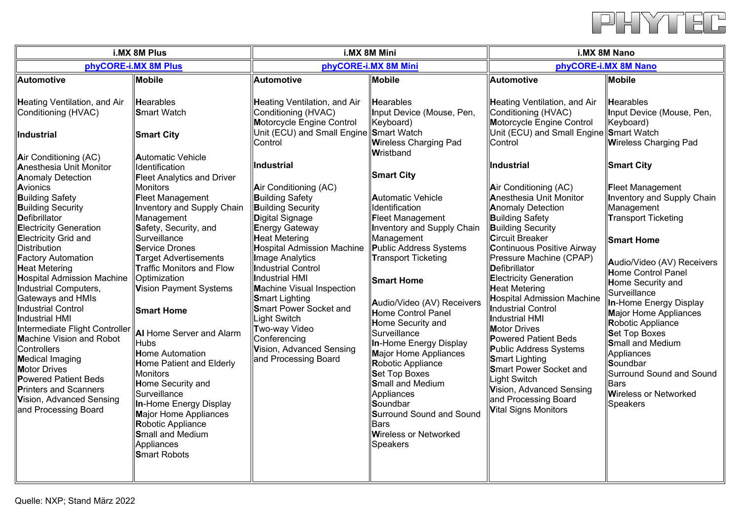

| i.MX 8M Plus                                                                                                                                                                                                                                                                                                                                                                                                                                                                                                                                                                                                                                                                                                                                                                                                                                                                                                                                                                                                                                                                                                                                                                                                                                                                                                                                                         | i.MX 8M Mini                                                                                                                                                                                                                                                                                                                                                                                                                                                                          |                                                                                                                                                                                                                                                                                                                                                                                                                                                                                                                                                                                                                 | i.MX 8M Nano                                                                                                                                                                                                                                                                                                                                                                                                                                                                                                                                                                                                                                                               |                                                                                                                                                                                                                                                                                                                                                                                                                                                                                                              |
|----------------------------------------------------------------------------------------------------------------------------------------------------------------------------------------------------------------------------------------------------------------------------------------------------------------------------------------------------------------------------------------------------------------------------------------------------------------------------------------------------------------------------------------------------------------------------------------------------------------------------------------------------------------------------------------------------------------------------------------------------------------------------------------------------------------------------------------------------------------------------------------------------------------------------------------------------------------------------------------------------------------------------------------------------------------------------------------------------------------------------------------------------------------------------------------------------------------------------------------------------------------------------------------------------------------------------------------------------------------------|---------------------------------------------------------------------------------------------------------------------------------------------------------------------------------------------------------------------------------------------------------------------------------------------------------------------------------------------------------------------------------------------------------------------------------------------------------------------------------------|-----------------------------------------------------------------------------------------------------------------------------------------------------------------------------------------------------------------------------------------------------------------------------------------------------------------------------------------------------------------------------------------------------------------------------------------------------------------------------------------------------------------------------------------------------------------------------------------------------------------|----------------------------------------------------------------------------------------------------------------------------------------------------------------------------------------------------------------------------------------------------------------------------------------------------------------------------------------------------------------------------------------------------------------------------------------------------------------------------------------------------------------------------------------------------------------------------------------------------------------------------------------------------------------------------|--------------------------------------------------------------------------------------------------------------------------------------------------------------------------------------------------------------------------------------------------------------------------------------------------------------------------------------------------------------------------------------------------------------------------------------------------------------------------------------------------------------|
| phyCORE-i.MX 8M Plus                                                                                                                                                                                                                                                                                                                                                                                                                                                                                                                                                                                                                                                                                                                                                                                                                                                                                                                                                                                                                                                                                                                                                                                                                                                                                                                                                 | phyCORE-i.MX 8M Mini                                                                                                                                                                                                                                                                                                                                                                                                                                                                  |                                                                                                                                                                                                                                                                                                                                                                                                                                                                                                                                                                                                                 | phyCORE-i.MX 8M Nano                                                                                                                                                                                                                                                                                                                                                                                                                                                                                                                                                                                                                                                       |                                                                                                                                                                                                                                                                                                                                                                                                                                                                                                              |
| Automotive<br><b>Mobile</b>                                                                                                                                                                                                                                                                                                                                                                                                                                                                                                                                                                                                                                                                                                                                                                                                                                                                                                                                                                                                                                                                                                                                                                                                                                                                                                                                          | <b>Automotive</b>                                                                                                                                                                                                                                                                                                                                                                                                                                                                     | <b>Mobile</b>                                                                                                                                                                                                                                                                                                                                                                                                                                                                                                                                                                                                   | Automotive                                                                                                                                                                                                                                                                                                                                                                                                                                                                                                                                                                                                                                                                 | <b>Mobile</b>                                                                                                                                                                                                                                                                                                                                                                                                                                                                                                |
| Heating Ventilation, and Air<br><b>Hearables</b><br>Conditioning (HVAC)<br><b>Smart Watch</b><br><b>Smart City</b><br><b>Industrial</b>                                                                                                                                                                                                                                                                                                                                                                                                                                                                                                                                                                                                                                                                                                                                                                                                                                                                                                                                                                                                                                                                                                                                                                                                                              | <b>Heating Ventilation, and Air</b><br>Conditioning (HVAC)<br>Motorcycle Engine Control<br>Unit (ECU) and Small Engine Smart Watch                                                                                                                                                                                                                                                                                                                                                    | <b>Hearables</b><br>Input Device (Mouse, Pen,<br>Keyboard)                                                                                                                                                                                                                                                                                                                                                                                                                                                                                                                                                      | <b>Heating Ventilation, and Air</b><br>Conditioning (HVAC)<br>Motorcycle Engine Control<br>Unit (ECU) and Small Engine Smart Watch                                                                                                                                                                                                                                                                                                                                                                                                                                                                                                                                         | Hearables<br>Input Device (Mouse, Pen,<br>Keyboard)                                                                                                                                                                                                                                                                                                                                                                                                                                                          |
|                                                                                                                                                                                                                                                                                                                                                                                                                                                                                                                                                                                                                                                                                                                                                                                                                                                                                                                                                                                                                                                                                                                                                                                                                                                                                                                                                                      | Control                                                                                                                                                                                                                                                                                                                                                                                                                                                                               | <b>Wireless Charging Pad</b>                                                                                                                                                                                                                                                                                                                                                                                                                                                                                                                                                                                    | Control                                                                                                                                                                                                                                                                                                                                                                                                                                                                                                                                                                                                                                                                    | <b>Wireless Charging Pad</b>                                                                                                                                                                                                                                                                                                                                                                                                                                                                                 |
| Automatic Vehicle<br>Air Conditioning (AC)<br>Anesthesia Unit Monitor<br>Identification<br><b>Anomaly Detection</b><br><b>Fleet Analytics and Driver</b><br><b>Monitors</b><br>Avionics<br><b>Building Safety</b><br><b>Fleet Management</b><br><b>Building Security</b><br><b>Inventory and Supply Chain</b><br><b>D</b> efibrillator<br>Management<br><b>Electricity Generation</b><br>Safety, Security, and<br>Surveillance<br><b>Electricity Grid and</b><br>Distribution<br>Service Drones<br><b>Factory Automation</b><br><b>Target Advertisements</b><br>Traffic Monitors and Flow<br><b>Heat Metering</b><br>Hospital Admission Machine<br>Optimization<br>Vision Payment Systems<br>Industrial Computers,<br>Gateways and HMIs<br><b>Industrial Control</b><br><b>Smart Home</b><br>Industrial HMI<br>Intermediate Flight Controller<br><b>AI</b> Home Server and Alarm<br>Machine Vision and Robot<br><b>Hubs</b><br>Controllers<br><b>Home Automation</b><br>Medical Imaging<br><b>Home Patient and Elderly</b><br><b>Motor Drives</b><br><b>Monitors</b><br>Powered Patient Beds<br>Home Security and<br>Printers and Scanners<br>Surveillance<br>Vision, Advanced Sensing<br>In-Home Energy Display<br>and Processing Board<br><b>Major Home Appliances</b><br><b>Robotic Appliance</b><br><b>Small and Medium</b><br>Appliances<br><b>Smart Robots</b> | Industrial<br>Air Conditioning (AC)<br><b>Building Safety</b><br><b>Building Security</b><br>Digital Signage<br><b>Energy Gateway</b><br><b>Heat Metering</b><br><b>Hospital Admission Machine</b><br><b>Image Analytics</b><br><b>Industrial Control</b><br>Industrial HMI<br><b>Machine Visual Inspection</b><br><b>Smart Lighting</b><br><b>Smart Power Socket and</b><br><b>Light Switch</b><br>Two-way Video<br>Conferencing<br>Vision, Advanced Sensing<br>and Processing Board | Wristband<br><b>Smart City</b><br><b>Automatic Vehicle</b><br>Identification<br><b>Fleet Management</b><br><b>Inventory and Supply Chain</b><br>Management<br>Public Address Systems<br><b>Transport Ticketing</b><br><b>Smart Home</b><br>Audio/Video (AV) Receivers<br><b>Home Control Panel</b><br><b>Home Security and</b><br>Surveillance<br>In-Home Energy Display<br><b>Major Home Appliances</b><br>Robotic Appliance<br><b>Set Top Boxes</b><br><b>Small and Medium</b><br>Appliances<br>Soundbar<br><b>Surround Sound and Sound</b><br><b>Bars</b><br><b>Wireless or Networked</b><br><b>Speakers</b> | <b>Industrial</b><br>Air Conditioning (AC)<br><b>Anesthesia Unit Monitor</b><br><b>Anomaly Detection</b><br><b>Building Safety</b><br><b>Building Security</b><br><b>Circuit Breaker</b><br><b>Continuous Positive Airway</b><br>Pressure Machine (CPAP)<br><b>Defibrillator</b><br><b>Electricity Generation</b><br><b>Heat Metering</b><br><b>Hospital Admission Machine</b><br><b>Industrial Control</b><br>Industrial HMI<br><b>Motor Drives</b><br><b>Powered Patient Beds</b><br>Public Address Systems<br><b>Smart Lighting</b><br><b>Smart Power Socket and</b><br>Light Switch<br>Vision, Advanced Sensing<br>and Processing Board<br><b>Vital Signs Monitors</b> | <b>Smart City</b><br><b>Fleet Management</b><br><b>Inventory and Supply Chain</b><br>Management<br><b>Transport Ticketing</b><br><b>Smart Home</b><br>Audio/Video (AV) Receivers<br><b>Home Control Panel</b><br>Home Security and<br>Surveillance<br>In-Home Energy Display<br><b>Major Home Appliances</b><br><b>Robotic Appliance</b><br><b>Set Top Boxes</b><br><b>Small and Medium</b><br>Appliances<br>Soundbar<br>Surround Sound and Sound<br><b>Bars</b><br><b>Wireless or Networked</b><br>Speakers |